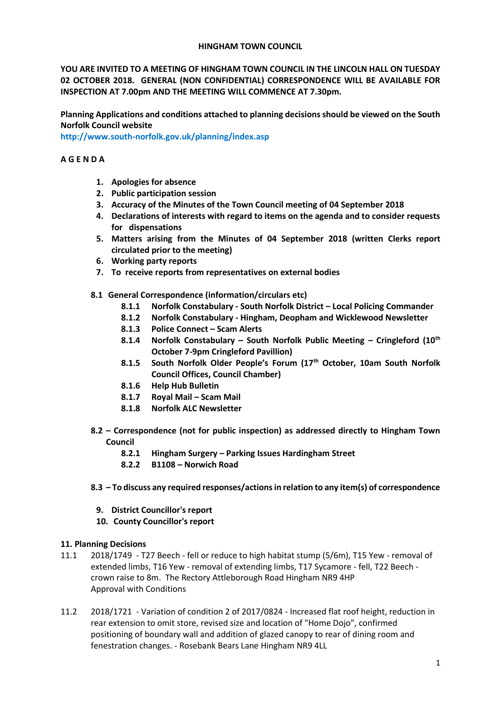### **HINGHAM TOWN COUNCIL**

**YOU ARE INVITED TO A MEETING OF HINGHAM TOWN COUNCIL IN THE LINCOLN HALL ON TUESDAY 02 OCTOBER 2018. GENERAL (NON CONFIDENTIAL) CORRESPONDENCE WILL BE AVAILABLE FOR INSPECTION AT 7.00pm AND THE MEETING WILL COMMENCE AT 7.30pm.** 

**Planning Applications and conditions attached to planning decisions should be viewed on the South Norfolk Council website** 

**<http://www.south-norfolk.gov.uk/planning/index.asp>**

## **A G E N D A**

- **1. Apologies for absence**
- **2. Public participation session**
- **3. Accuracy of the Minutes of the Town Council meeting of 04 September 2018**
- **4. Declarations of interests with regard to items on the agenda and to consider requests for dispensations**
- **5. Matters arising from the Minutes of 04 September 2018 (written Clerks report circulated prior to the meeting)**
- **6. Working party reports**
- **7. To receive reports from representatives on external bodies**
- **8.1 General Correspondence (information/circulars etc)**
	- **8.1.1 Norfolk Constabulary - South Norfolk District – Local Policing Commander**
	- **8.1.2 Norfolk Constabulary - Hingham, Deopham and Wicklewood Newsletter**
	- **8.1.3 Police Connect – Scam Alerts**
	- **8.1.4 Norfolk Constabulary – South Norfolk Public Meeting – Cringleford (10th October 7-9pm Cringleford Pavillion)**
	- **8.1.5 South Norfolk Older People's Forum (17th October, 10am South Norfolk Council Offices, Council Chamber)**
	- **8.1.6 Help Hub Bulletin**
	- **8.1.7 Royal Mail – Scam Mail**
	- **8.1.8 Norfolk ALC Newsletter**
- **8.2 – Correspondence (not for public inspection) as addressed directly to Hingham Town Council**
	- **8.2.1 Hingham Surgery – Parking Issues Hardingham Street**
	- **8.2.2 B1108 – Norwich Road**
- **8.3 – To discuss any required responses/actions in relation to any item(s) of correspondence** 
	- **9. District Councillor's report**
	- **10. County Councillor's report**

## **11. Planning Decisions**

- 11.1 2018/1749 T27 Beech fell or reduce to high habitat stump (5/6m), T15 Yew removal of extended limbs, T16 Yew - removal of extending limbs, T17 Sycamore - fell, T22 Beech crown raise to 8m. The Rectory Attleborough Road Hingham NR9 4HP Approval with Conditions
- 11.2 2018/1721 Variation of condition 2 of 2017/0824 Increased flat roof height, reduction in rear extension to omit store, revised size and location of "Home Dojo", confirmed positioning of boundary wall and addition of glazed canopy to rear of dining room and fenestration changes. - Rosebank Bears Lane Hingham NR9 4LL